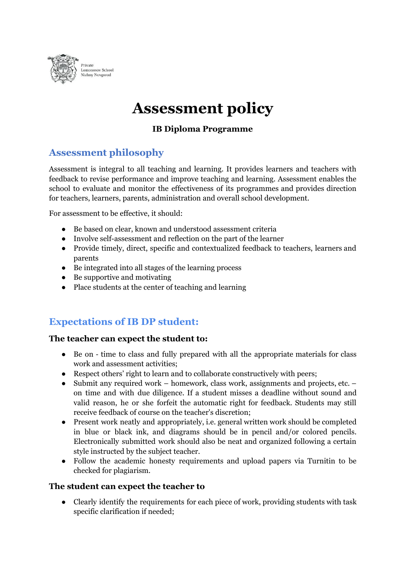

# **Assessment policy**

### **IB Diploma Programme**

# **Assessment philosophy**

Assessment is integral to all teaching and learning. It provides learners and teachers with feedback to revise performance and improve teaching and learning. Assessment enables the school to evaluate and monitor the effectiveness of its programmes and provides direction for teachers, learners, parents, administration and overall school development.

For assessment to be effective, it should:

- Be based on clear, known and understood assessment criteria
- Involve self-assessment and reflection on the part of the learner
- Provide timely, direct, specific and contextualized feedback to teachers, learners and parents
- Be integrated into all stages of the learning process
- Be supportive and motivating
- Place students at the center of teaching and learning

# **Expectations of IB DP student:**

#### **The teacher can expect the student to:**

- Be on time to class and fully prepared with all the appropriate materials for class work and assessment activities;
- Respect others' right to learn and to collaborate constructively with peers;
- Submit any required work homework, class work, assignments and projects, etc. on time and with due diligence. If a student misses a deadline without sound and valid reason, he or she forfeit the automatic right for feedback. Students may still receive feedback of course on the teacher's discretion;
- Present work neatly and appropriately, i.e. general written work should be completed in blue or black ink, and diagrams should be in pencil and/or colored pencils. Electronically submitted work should also be neat and organized following a certain style instructed by the subject teacher.
- Follow the academic honesty requirements and upload papers via Turnitin to be checked for plagiarism.

#### **The student can expect the teacher to**

● Clearly identify the requirements for each piece of work, providing students with task specific clarification if needed;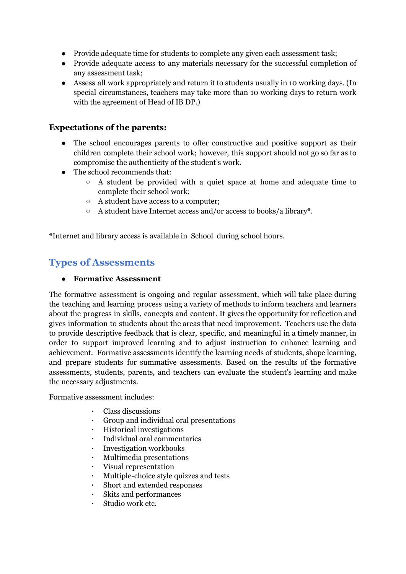- Provide adequate time for students to complete any given each assessment task;
- Provide adequate access to any materials necessary for the successful completion of any assessment task;
- Assess all work appropriately and return it to students usually in 10 working days. (In special circumstances, teachers may take more than 10 working days to return work with the agreement of Head of IB DP.)

### **Expectations of the parents:**

- The school encourages parents to offer constructive and positive support as their children complete their school work; however, this support should not go so far as to compromise the authenticity of the student's work.
- The school recommends that:
	- A student be provided with a quiet space at home and adequate time to complete their school work;
	- A student have access to a computer;
	- A student have Internet access and/or access to books/a library\*.

\*Internet and library access is available in School during school hours.

# **Types of Assessments**

#### **● Formative Assessment**

The formative assessment is ongoing and regular assessment, which will take place during the teaching and learning process using a variety of methods to inform teachers and learners about the progress in skills, concepts and content. It gives the opportunity for reflection and gives information to students about the areas that need improvement. Teachers use the data to provide descriptive feedback that is clear, specific, and meaningful in a timely manner, in order to support improved learning and to adjust instruction to enhance learning and achievement. Formative assessments identify the learning needs of students, shape learning, and prepare students for summative assessments. Based on the results of the formative assessments, students, parents, and teachers can evaluate the student's learning and make the necessary adjustments.

Formative assessment includes:

- Class discussions
- Group and individual oral presentations
- Historical investigations
- Individual oral commentaries
- Investigation workbooks
- Multimedia presentations
- Visual representation
- Multiple-choice style quizzes and tests
- Short and extended responses
- Skits and performances
- Studio work etc.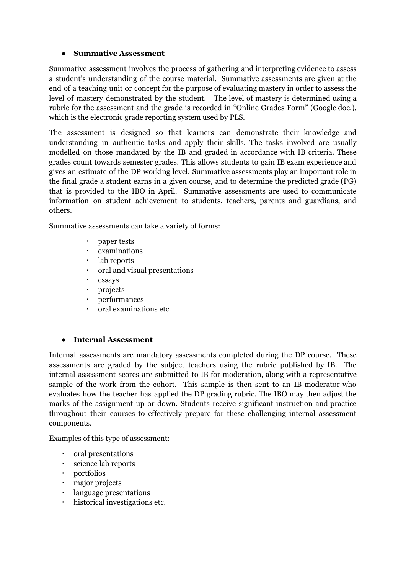#### **● Summative Assessment**

Summative assessment involves the process of gathering and interpreting evidence to assess a student's understanding of the course material. Summative assessments are given at the end of a teaching unit or concept for the purpose of evaluating mastery in order to assess the level of mastery demonstrated by the student. The level of mastery is determined using a rubric for the assessment and the grade is recorded in "Online Grades Form" (Google doc.), which is the electronic grade reporting system used by PLS.

The assessment is designed so that learners can demonstrate their knowledge and understanding in authentic tasks and apply their skills. The tasks involved are usually modelled on those mandated by the IB and graded in accordance with IB criteria. These grades count towards semester grades. This allows students to gain IB exam experience and gives an estimate of the DP working level. Summative assessments play an important role in the final grade a student earns in a given course, and to determine the predicted grade (PG) that is provided to the IBO in April. Summative assessments are used to communicate information on student achievement to students, teachers, parents and guardians, and others.

Summative assessments can take a variety of forms:

- paper tests
- examinations
- lab reports
- oral and visual presentations
- essays
- projects
- performances
- oral examinations etc.

#### **● Internal Assessment**

Internal assessments are mandatory assessments completed during the DP course. These assessments are graded by the subject teachers using the rubric published by IB. The internal assessment scores are submitted to IB for moderation, along with a representative sample of the work from the cohort. This sample is then sent to an IB moderator who evaluates how the teacher has applied the DP grading rubric. The IBO may then adjust the marks of the assignment up or down. Students receive significant instruction and practice throughout their courses to effectively prepare for these challenging internal assessment components.

Examples of this type of assessment:

- oral presentations
- science lab reports
- portfolios
- major projects
- language presentations
- historical investigations etc.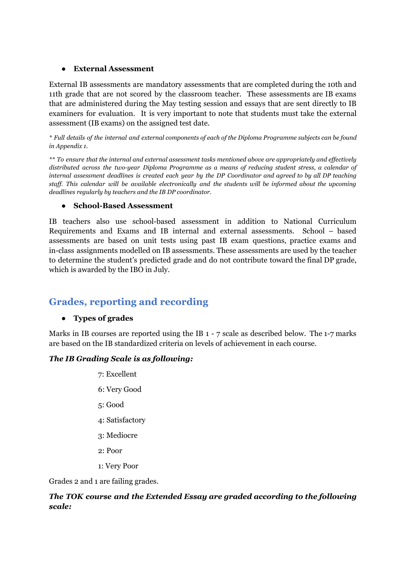#### **● External Assessment**

External IB assessments are mandatory assessments that are completed during the 10th and 11th grade that are not scored by the classroom teacher. These assessments are IB exams that are administered during the May testing session and essays that are sent directly to IB examiners for evaluation. It is very important to note that students must take the external assessment (IB exams) on the assigned test date.

\* Full details of the internal and external components of each of the Diploma Programme subjects can be found *in Appendix 1.*

*\*\* To ensure that the internal and external assessment tasks mentioned above are appropriately and effectively distributed across the two-year Diploma Programme as a means of reducing student stress, a calendar of* internal assessment deadlines is created each year by the DP Coordinator and agreed to by all DP teaching *staff. This calendar will be available electronically and the students will be informed about the upcoming deadlines regularly by teachers and the IB DP coordinator.*

#### **● School-Based Assessment**

IB teachers also use school-based assessment in addition to National Curriculum Requirements and Exams and IB internal and external assessments. School – based assessments are based on unit tests using past IB exam questions, practice exams and in-class assignments modelled on IB assessments. These assessments are used by the teacher to determine the student's predicted grade and do not contribute toward the final DP grade, which is awarded by the IBO in July.

# **Grades, reporting and recording**

#### **● Types of grades**

Marks in IB courses are reported using the IB 1 - 7 scale as described below. The 1-7 marks are based on the IB standardized criteria on levels of achievement in each course.

#### *The IB Grading Scale is as following:*

7: Excellent 6: Very Good 5: Good 4: Satisfactory 3: Mediocre 2: Poor 1: Very Poor

Grades 2 and 1 are failing grades.

#### *The TOK course and the Extended Essay are graded according to the following scale:*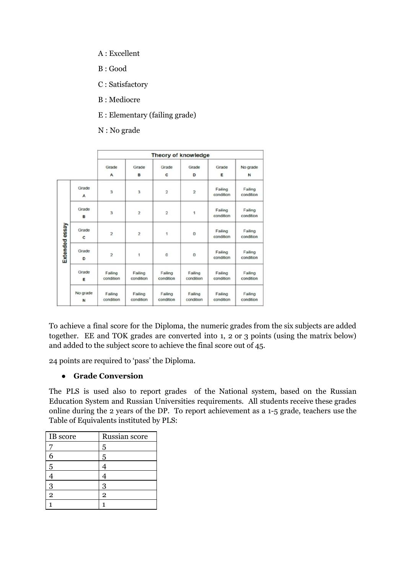- A : Excellent
- B : Good
- C : Satisfactory
- В : Mediocre
- E : Elementary (failing grade)
- N : No grade

|                |               |                         |                      | <b>Theory of knowledge</b> |                         |                      |                         |
|----------------|---------------|-------------------------|----------------------|----------------------------|-------------------------|----------------------|-------------------------|
|                |               | Grade<br>A              | Grade<br>B           | Grade<br>c                 | Grade<br>D              | Grade<br>E           | No grade<br>$\mathbf N$ |
|                | Grade<br>A    | 3                       | 3                    | $\overline{2}$             | $\overline{\mathbf{2}}$ | Failing<br>condition | Failing<br>condition    |
| Extended essay | Grade<br>B    | $\overline{\mathbf{3}}$ | $\overline{2}$       | $\overline{a}$             | 1                       | Failing<br>condition | Failing<br>condition    |
|                | Grade<br>c    | $\overline{2}$          | $\overline{2}$       | 1                          | $\bf 0$                 | Failing<br>condition | Failing<br>condition    |
|                | Grade<br>D    | $\overline{2}$          | 1                    | $\bf{0}$                   | $\bf{0}$                | Failing<br>condition | Failing<br>condition    |
|                | Grade<br>E    | Failing<br>condition    | Failing<br>condition | Failing<br>condition       | Failing<br>condition    | Failing<br>condition | Failing<br>condition    |
|                | No grade<br>N | Failing<br>condition    | Failing<br>condition | Failing<br>condition       | Failing<br>condition    | Failing<br>condition | Failing<br>condition    |

To achieve a final score for the Diploma, the numeric grades from the six subjects are added together. EE and TOK grades are converted into 1, 2 or 3 points (using the matrix below) and added to the subject score to achieve the final score out of 45.

24 points are required to 'pass' the Diploma.

#### **● Grade Conversion**

The PLS is used also to report grades of the National system, based on the Russian Education System and Russian Universities requirements. All students receive these grades online during the 2 years of the DP. To report achievement as a 1-5 grade, teachers use the Table of Equivalents instituted by PLS:

| IB score       | Russian score  |
|----------------|----------------|
|                | 5              |
|                | 5              |
| 5              |                |
|                |                |
| 3              | 3              |
| $\overline{2}$ | $\overline{2}$ |
|                |                |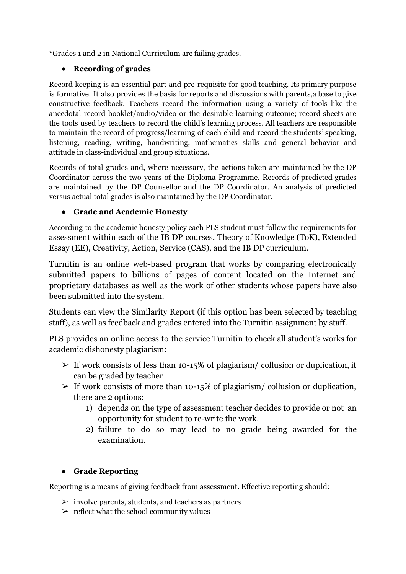\*Grades 1 and 2 in National Curriculum are failing grades.

### **● Recording of grades**

Record keeping is an essential part and pre-requisite for good teaching. Its primary purpose is formative. It also provides the basis for reports and discussions with parents,a base to give constructive feedback. Teachers record the information using a variety of tools like the anecdotal record booklet/audio/video or the desirable learning outcome; record sheets are the tools used by teachers to record the child's learning process. All teachers are responsible to maintain the record of progress/learning of each child and record the students' speaking, listening, reading, writing, handwriting, mathematics skills and general behavior and attitude in class-individual and group situations.

Records of total grades and, where necessary, the actions taken are maintained by the DP Coordinator across the two years of the Diploma Programme. Records of predicted grades are maintained by the DP Counsellor and the DP Coordinator. An analysis of predicted versus actual total grades is also maintained by the DP Coordinator.

### **● Grade and Academic Honesty**

According to the academic honesty policy each PLS student must follow the requirements for assessment within each of the IB DP courses, Theory of Knowledge (ToK), Extended Essay (EE), Creativity, Action, Service (CAS), and the IB DP curriculum.

Turnitin is an online web-based program that works by comparing electronically submitted papers to billions of pages of content located on the Internet and proprietary databases as well as the work of other students whose papers have also been submitted into the system.

Students can view the Similarity Report (if this option has been selected by teaching staff), as well as feedback and grades entered into the Turnitin assignment by staff.

PLS provides an online access to the service Turnitin to check all student's works for academic dishonesty plagiarism:

- $\triangleright$  If work consists of less than 10-15% of plagiarism/ collusion or duplication, it can be graded by teacher
- $\geq$  If work consists of more than 10-15% of plagiarism/ collusion or duplication, there are 2 options:
	- 1) depends on the type of assessment teacher decides to provide or not an opportunity for student to re-write the work.
	- 2) failure to do so may lead to no grade being awarded for the examination.

## **● Grade Reporting**

Reporting is a means of giving feedback from assessment. Effective reporting should:

- $\triangleright$  involve parents, students, and teachers as partners
- $\triangleright$  reflect what the school community values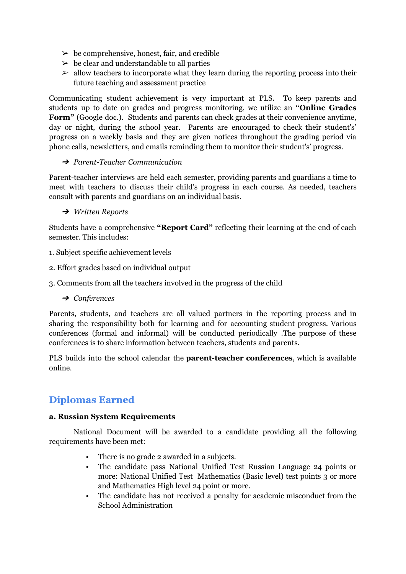- $\triangleright$  be comprehensive, honest, fair, and credible
- $\triangleright$  be clear and understandable to all parties
- $\geq$  allow teachers to incorporate what they learn during the reporting process into their future teaching and assessment practice

Communicating student achievement is very important at PLS. To keep parents and students up to date on grades and progress monitoring, we utilize an **"Online Grades Form"** (Google doc.). Students and parents can check grades at their convenience anytime, day or night, during the school year. Parents are encouraged to check their student's' progress on a weekly basis and they are given notices throughout the grading period via phone calls, newsletters, and emails reminding them to monitor their student's' progress.

#### ➔ *Parent-Teacher Communication*

Parent-teacher interviews are held each semester, providing parents and guardians a time to meet with teachers to discuss their child's progress in each course. As needed, teachers consult with parents and guardians on an individual basis.

#### ➔ *Written Reports*

Students have a comprehensive **"Report Card"** reflecting their learning at the end of each semester. This includes:

- 1. Subject specific achievement levels
- 2. Effort grades based on individual output
- 3. Comments from all the teachers involved in the progress of the child
	- ➔ *Conferences*

Parents, students, and teachers are all valued partners in the reporting process and in sharing the responsibility both for learning and for accounting student progress. Various conferences (formal and informal) will be conducted periodically .The purpose of these conferences is to share information between teachers, students and parents.

PLS builds into the school calendar the **parent-teacher conferences**, which is available online.

# **Diplomas Earned**

#### **a. Russian System Requirements**

National Document will be awarded to a candidate providing all the following requirements have been met:

- There is no grade 2 awarded in a subjects.
- The candidate pass National Unified Test Russian Language 24 points or more: National Unified Test Mathematics (Basic level) test points 3 or more and Mathematics High level 24 point or more.
- The candidate has not received a penalty for academic misconduct from the School Administration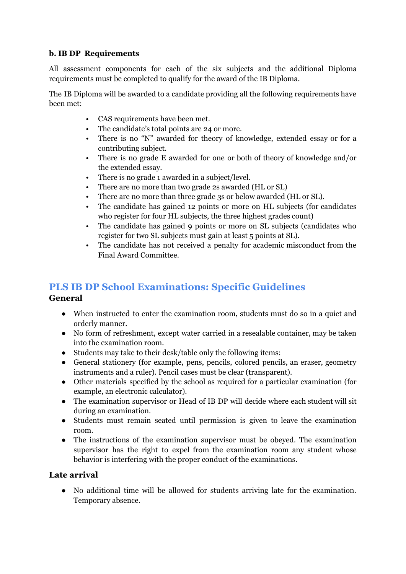### **b. IB DP Requirements**

All assessment components for each of the six subjects and the additional Diploma requirements must be completed to qualify for the award of the IB Diploma.

The IB Diploma will be awarded to a candidate providing all the following requirements have been met:

- CAS requirements have been met.
- The candidate's total points are 24 or more.
- There is no "N" awarded for theory of knowledge, extended essay or for a contributing subject.
- There is no grade E awarded for one or both of theory of knowledge and/or the extended essay.
- There is no grade 1 awarded in a subject/level.
- There are no more than two grade 2s awarded (HL or SL)
- There are no more than three grade 3s or below awarded (HL or SL).
- The candidate has gained 12 points or more on HL subjects (for candidates who register for four HL subjects, the three highest grades count)
- The candidate has gained 9 points or more on SL subjects (candidates who register for two SL subjects must gain at least 5 points at SL).
- The candidate has not received a penalty for academic misconduct from the Final Award Committee.

# **PLS IB DP School Examinations: Specific Guidelines General**

- When instructed to enter the examination room, students must do so in a quiet and orderly manner.
- No form of refreshment, except water carried in a resealable container, may be taken into the examination room.
- Students may take to their desk/table only the following items:
- General stationery (for example, pens, pencils, colored pencils, an eraser, geometry instruments and a ruler). Pencil cases must be clear (transparent).
- Other materials specified by the school as required for a particular examination (for example, an electronic calculator).
- The examination supervisor or Head of IB DP will decide where each student will sit during an examination.
- Students must remain seated until permission is given to leave the examination room.
- The instructions of the examination supervisor must be obeyed. The examination supervisor has the right to expel from the examination room any student whose behavior is interfering with the proper conduct of the examinations.

### **Late arrival**

● No additional time will be allowed for students arriving late for the examination. Temporary absence.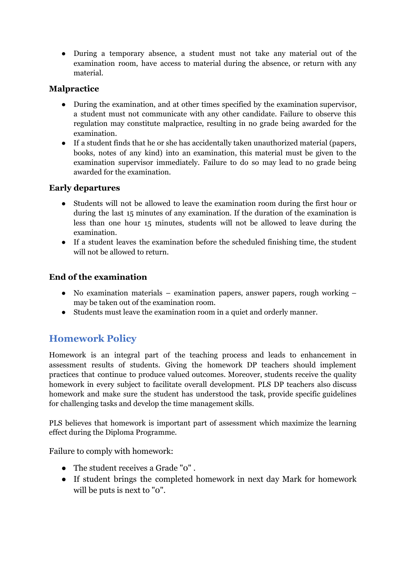● During a temporary absence, a student must not take any material out of the examination room, have access to material during the absence, or return with any material.

### **Malpractice**

- During the examination, and at other times specified by the examination supervisor, a student must not communicate with any other candidate. Failure to observe this regulation may constitute malpractice, resulting in no grade being awarded for the examination.
- If a student finds that he or she has accidentally taken unauthorized material (papers, books, notes of any kind) into an examination, this material must be given to the examination supervisor immediately. Failure to do so may lead to no grade being awarded for the examination.

### **Early departures**

- Students will not be allowed to leave the examination room during the first hour or during the last 15 minutes of any examination. If the duration of the examination is less than one hour 15 minutes, students will not be allowed to leave during the examination.
- If a student leaves the examination before the scheduled finishing time, the student will not be allowed to return.

## **End of the examination**

- No examination materials examination papers, answer papers, rough working may be taken out of the examination room.
- Students must leave the examination room in a quiet and orderly manner.

# **Homework Policy**

Homework is an integral part of the teaching process and leads to enhancement in assessment results of students. Giving the homework DP teachers should implement practices that continue to produce valued outcomes. Moreover, students receive the quality homework in every subject to facilitate overall development. PLS DP teachers also discuss homework and make sure the student has understood the task, provide specific guidelines for challenging tasks and develop the time management skills.

PLS believes that homework is important part of assessment which maximize the learning effect during the Diploma Programme.

Failure to comply with homework:

- The student receives a Grade "0" .
- If student brings the completed homework in next day Mark for homework will be puts is next to "o".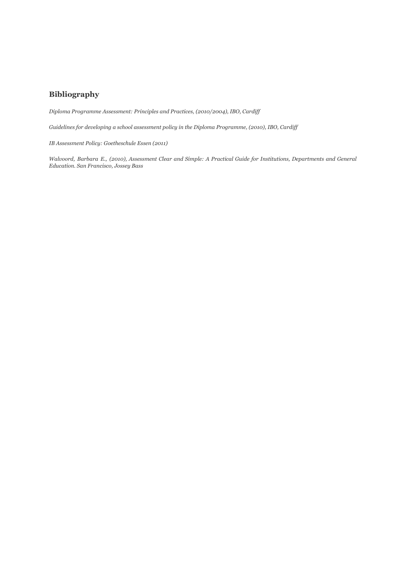#### **Bibliography**

*Diploma Programme Assessment: Principles and Practices, (2010/2004), IBO, Cardif*

*Guidelines for developing a school assessment policy in the Diploma Programme, (2010), IBO, Cardif*

*IB Assessment Policy: Goetheschule Essen (2011)*

Walvoord, Barbara E., (2010), Assessment Clear and Simple: A Practical Guide for Institutions, Departments and General *Education. San Francisco, Jossey Bass*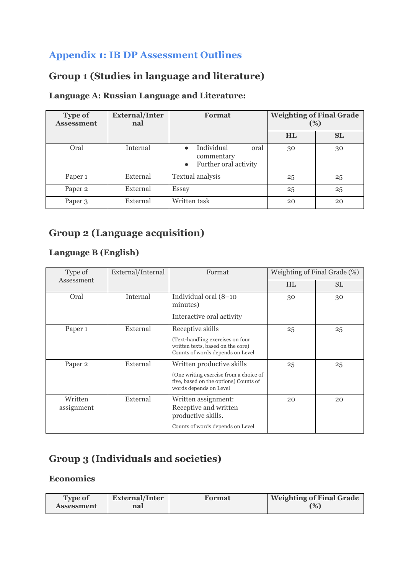# **Appendix 1: IB DP Assessment Outlines**

# **Group 1 (Studies in language and literature)**

# **Language A: Russian Language and Literature:**

| <b>Type of</b><br><b>Assessment</b> | <b>External/Inter</b><br>nal | Format                                                                 | <b>Weighting of Final Grade</b><br>(%) |           |
|-------------------------------------|------------------------------|------------------------------------------------------------------------|----------------------------------------|-----------|
|                                     |                              |                                                                        | <b>HL</b>                              | <b>SL</b> |
| Oral                                | Internal                     | Individual<br>oral<br>commentary<br>Further oral activity<br>$\bullet$ | 30                                     | 30        |
| Paper <sub>1</sub>                  | External                     | Textual analysis                                                       | 25                                     | 25        |
| Paper <sub>2</sub>                  | External                     | Essay                                                                  | 25                                     | 25        |
| Paper 3                             | External                     | Written task                                                           | 20                                     | 20        |

# **Group 2 (Language acquisition)**

# **Language B (English)**

| Type of               | External/Internal | Format                                                                                                                                 | Weighting of Final Grade (%) |           |
|-----------------------|-------------------|----------------------------------------------------------------------------------------------------------------------------------------|------------------------------|-----------|
| Assessment            |                   |                                                                                                                                        | HL.                          | <b>SL</b> |
| Oral                  | Internal          | Individual oral (8-10<br>minutes)                                                                                                      | 30                           | 30        |
|                       |                   | Interactive oral activity                                                                                                              |                              |           |
| Paper 1               | External          | Receptive skills                                                                                                                       | 25                           | 25        |
|                       |                   | (Text-handling exercises on four)<br>written texts, based on the core)<br>Counts of words depends on Level                             |                              |           |
| Paper 2               | External          | Written productive skills<br>(One writing exercise from a choice of<br>five, based on the options) Counts of<br>words depends on Level | 25                           | 25        |
| Written<br>assignment | External          | Written assignment:<br>Receptive and written<br>productive skills.<br>Counts of words depends on Level                                 | 20                           | 20        |

# **Group 3 (Individuals and societies)**

### **Economics**

| <b>Type of</b> | <b>External/Inter</b> | Format | <b>Weighting of Final Grade</b> |
|----------------|-----------------------|--------|---------------------------------|
| Assessment     | nal                   |        | $(\% )$                         |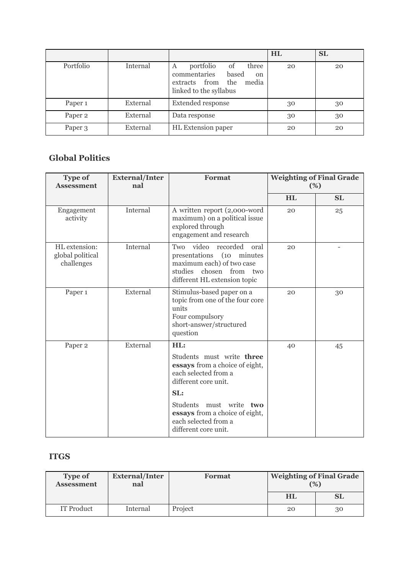|                    |          |                                                                                                                                            | HL | <b>SL</b> |
|--------------------|----------|--------------------------------------------------------------------------------------------------------------------------------------------|----|-----------|
| Portfolio          | Internal | portfolio<br>three<br><sub>of</sub><br>Α<br>commentaries<br>based<br><sub>on</sub><br>extracts from the<br>media<br>linked to the syllabus | 20 | 20        |
| Paper <sub>1</sub> | External | <b>Extended response</b>                                                                                                                   | 30 | 30        |
| Paper <sub>2</sub> | External | Data response                                                                                                                              | 30 | 30        |
| Paper <sub>3</sub> | External | HL Extension paper                                                                                                                         | 20 | 20        |

# **Global Politics**

| <b>Type of</b><br><b>Assessment</b>             | <b>External/Inter</b><br>nal | <b>Format</b>                                                                                                                                                                                                                                    | <b>Weighting of Final Grade</b><br>(%) |           |
|-------------------------------------------------|------------------------------|--------------------------------------------------------------------------------------------------------------------------------------------------------------------------------------------------------------------------------------------------|----------------------------------------|-----------|
|                                                 |                              |                                                                                                                                                                                                                                                  | HL                                     | <b>SL</b> |
| Engagement<br>activity                          | Internal                     | A written report (2,000-word<br>maximum) on a political issue<br>explored through<br>engagement and research                                                                                                                                     | 20                                     | 25        |
| HL extension:<br>global political<br>challenges | Internal                     | Two video<br>recorded<br>oral<br>presentations (10 minutes<br>maximum each) of two case<br>studies<br>chosen<br>from<br>two<br>different HL extension topic                                                                                      | 20                                     |           |
| Paper 1                                         | External                     | Stimulus-based paper on a<br>topic from one of the four core<br>units<br>Four compulsory<br>short-answer/structured<br>question                                                                                                                  | 20                                     | 30        |
| Paper <sub>2</sub>                              | External                     | HL:<br>Students must write three<br>essays from a choice of eight,<br>each selected from a<br>different core unit.<br>SL:<br>must write two<br><b>Students</b><br>essays from a choice of eight,<br>each selected from a<br>different core unit. | 40                                     | 45        |

### **ITGS**

| <b>Type of</b><br><b>Assessment</b> | <b>External/Inter</b><br>nal | <b>Format</b> | <b>Weighting of Final Grade</b> | (9) |
|-------------------------------------|------------------------------|---------------|---------------------------------|-----|
|                                     |                              |               | HL                              | SL  |
| <b>IT Product</b>                   | Internal                     | Project       | 20                              | 30  |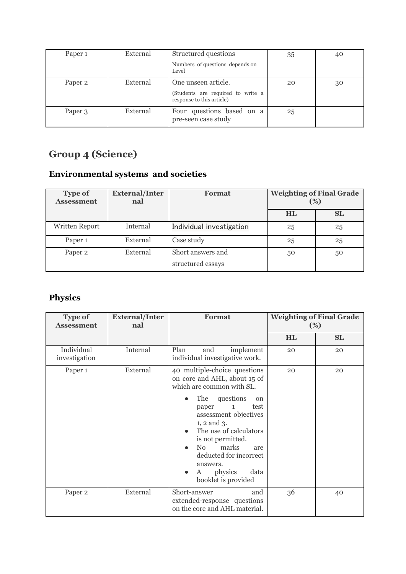| Paper <sub>1</sub> | External | Structured questions                                           | 35 | 40 |
|--------------------|----------|----------------------------------------------------------------|----|----|
|                    |          | Numbers of questions depends on<br>Level                       |    |    |
| Paper 2            | External | One unseen article.                                            | 20 | 30 |
|                    |          | (Students are required to write a<br>response to this article) |    |    |
| Paper 3            | External | Four questions based on a<br>pre-seen case study               | 25 |    |

# **Group 4 (Science)**

# **Environmental systems and societies**

| <b>Type of</b><br><b>Assessment</b> | <b>External/Inter</b><br>nal | <b>Format</b>                          | <b>Weighting of Final Grade</b><br>(%) |           |
|-------------------------------------|------------------------------|----------------------------------------|----------------------------------------|-----------|
|                                     |                              |                                        | <b>HL</b>                              | <b>SL</b> |
| Written Report                      | Internal                     | Individual investigation               | 25                                     | 25        |
| Paper <sub>1</sub>                  | External                     | Case study                             | 25                                     | 25        |
| Paper <sub>2</sub>                  | External                     | Short answers and<br>structured essays | 50                                     | 50        |

# **Physics**

| <b>Type of</b><br><b>Assessment</b> | <b>External/Inter</b><br>nal | <b>Format</b>                                                                                                                                                                                                                                                                                                                                                |           | <b>Weighting of Final Grade</b><br>$(\%)$ |
|-------------------------------------|------------------------------|--------------------------------------------------------------------------------------------------------------------------------------------------------------------------------------------------------------------------------------------------------------------------------------------------------------------------------------------------------------|-----------|-------------------------------------------|
|                                     |                              |                                                                                                                                                                                                                                                                                                                                                              | <b>HL</b> | <b>SL</b>                                 |
| Individual<br>investigation         | Internal                     | Plan<br>implement<br>and<br>individual investigative work.                                                                                                                                                                                                                                                                                                   | 20        | 20                                        |
| Paper <sub>1</sub>                  | External                     | 40 multiple-choice questions<br>on core and AHL, about 15 of<br>which are common with SL.<br>questions<br>The<br>on<br>test<br>paper<br>1<br>assessment objectives<br>$1, 2$ and $3$ .<br>The use of calculators<br>is not permitted.<br>marks<br>N <sub>0</sub><br>are<br>deducted for incorrect<br>answers.<br>physics<br>data<br>A<br>booklet is provided | 20        | 20                                        |
| Paper <sub>2</sub>                  | External                     | Short-answer<br>and<br>extended-response questions<br>on the core and AHL material.                                                                                                                                                                                                                                                                          | 36        | 40                                        |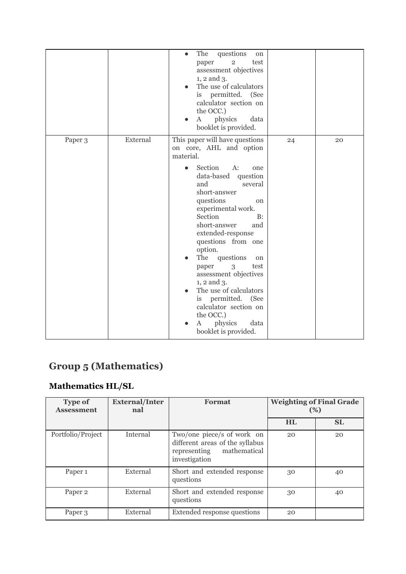| Paper 3<br>24<br>20<br>on core, AHL and option<br>material.<br>Section<br>$A$ :<br>one<br>data-based question<br>and<br>several<br>short-answer<br>questions<br><sub>on</sub><br>experimental work.<br>Section<br>B:<br>short-answer<br>and<br>extended-response<br>questions from one<br>option. |          | questions<br>The<br>$\bullet$<br>on<br>$\overline{2}$<br>paper<br>test<br>assessment objectives<br>1, 2 and 3.<br>The use of calculators<br>is permitted. (See<br>calculator section on<br>the OCC.)<br>physics<br>data<br>A<br>booklet is provided. |  |
|---------------------------------------------------------------------------------------------------------------------------------------------------------------------------------------------------------------------------------------------------------------------------------------------------|----------|------------------------------------------------------------------------------------------------------------------------------------------------------------------------------------------------------------------------------------------------------|--|
| test<br>paper<br>3<br>assessment objectives<br>$1, 2$ and $3$ .<br>The use of calculators<br>is permitted. (See<br>calculator section on<br>the OCC.)                                                                                                                                             | External | This paper will have questions<br>The questions<br>on                                                                                                                                                                                                |  |

# **Group 5 (Mathematics)**

# **Mathematics HL/SL**

| <b>Type of</b><br><b>Assessment</b> | <b>External/Inter</b><br>nal | Format                                                                                                         | (%)       | <b>Weighting of Final Grade</b> |
|-------------------------------------|------------------------------|----------------------------------------------------------------------------------------------------------------|-----------|---------------------------------|
|                                     |                              |                                                                                                                | <b>HL</b> | <b>SL</b>                       |
| Portfolio/Project                   | Internal                     | Two/one piece/s of work on<br>different areas of the syllabus<br>mathematical<br>representing<br>investigation | 20        | 20                              |
| Paper <sub>1</sub>                  | External                     | Short and extended response<br>questions                                                                       | 30        | 40                              |
| Paper <sub>2</sub>                  | External                     | Short and extended response<br>questions                                                                       | 30        | 40                              |
| Paper 3                             | External                     | Extended response questions                                                                                    | 20        |                                 |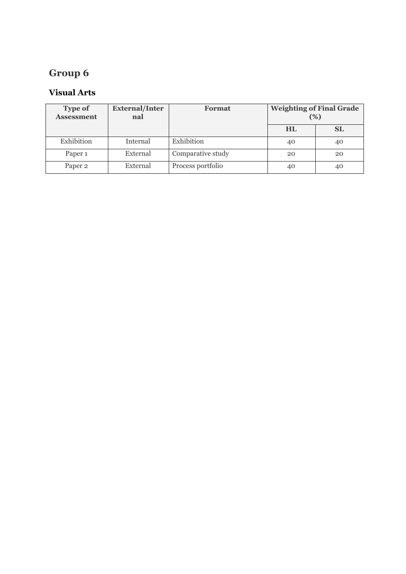# **Group 6**

# **Visual Arts**

| <b>Type of</b><br><b>Assessment</b> | <b>External/Inter</b><br>nal | <b>Format</b>     | <b>Weighting of Final Grade</b><br>(%) |    |
|-------------------------------------|------------------------------|-------------------|----------------------------------------|----|
|                                     |                              |                   | <b>HL</b>                              | SL |
| Exhibition                          | Internal                     | Exhibition        | 40                                     | 40 |
| Paper <sub>1</sub>                  | External                     | Comparative study | 20                                     | 20 |
| Paper 2                             | External                     | Process portfolio | 40                                     | 40 |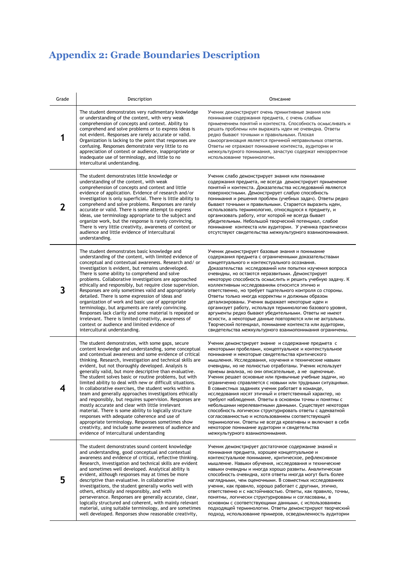# **Appendix 2: Grade Boundaries Description**

| Grade | Description                                                                                                                                                                                                                                                                                                                                                                                                                                                                                                                                                                                                                                                                                                                                                                                                                                                                                                                                                                     | Описание                                                                                                                                                                                                                                                                                                                                                                                                                                                                                                                                                                                                                                                                                                                                                                                                                                                                                                                                                                       |
|-------|---------------------------------------------------------------------------------------------------------------------------------------------------------------------------------------------------------------------------------------------------------------------------------------------------------------------------------------------------------------------------------------------------------------------------------------------------------------------------------------------------------------------------------------------------------------------------------------------------------------------------------------------------------------------------------------------------------------------------------------------------------------------------------------------------------------------------------------------------------------------------------------------------------------------------------------------------------------------------------|--------------------------------------------------------------------------------------------------------------------------------------------------------------------------------------------------------------------------------------------------------------------------------------------------------------------------------------------------------------------------------------------------------------------------------------------------------------------------------------------------------------------------------------------------------------------------------------------------------------------------------------------------------------------------------------------------------------------------------------------------------------------------------------------------------------------------------------------------------------------------------------------------------------------------------------------------------------------------------|
| 1     | The student demonstrates very rudimentary knowledge<br>or understanding of the content, with very weak<br>comprehension of concepts and context. Ability to<br>comprehend and solve problems or to express ideas is<br>not evident. Responses are rarely accurate or valid.<br>Organization is lacking to the point that responses are<br>confusing. Responses demonstrate very little to no<br>appreciation of context or audience, inappropriate or<br>inadequate use of terminology, and little to no<br>intercultural understanding.                                                                                                                                                                                                                                                                                                                                                                                                                                        | Ученик демонстрирует очень примитивные знания или<br>понимание содержания предмета, с очень слабым<br>применением понятий и контекста. Способность осмысливать и<br>решать проблемы или выражать идеи не очевидна. Ответы<br>редко бывают точными и правильными. Плохая<br>самоорганизация является причиной неправильных ответов.<br>Ответы не отражают понимание контекста, аудитории и<br>межкультурного понимания, зачастую содержат некорректное<br>использование терминологии.                                                                                                                                                                                                                                                                                                                                                                                                                                                                                           |
| 2     | The student demonstrates little knowledge or<br>understanding of the content, with weak<br>comprehension of concepts and context and little<br>evidence of application. Evidence of research and/or<br>investigation is only superficial. There is little ability to<br>comprehend and solve problems. Responses are rarely<br>accurate or valid. There is some attempt to express<br>ideas, use terminology appropriate to the subject and<br>organize work, but the response is rarely convincing.<br>There is very little creativity, awareness of context or<br>audience and little evidence of intercultural<br>understanding.                                                                                                                                                                                                                                                                                                                                             | Ученик слабо демонстрирует знания или понимание<br>содержания предмета, не всегда демонстрирует применение<br>понятий и контекста. Доказательства исследований являются<br>поверхностными. Демонстрирует слабую способность<br>понимания и решения проблем (учебных задач). Ответы редко<br>бывают точными и правильными. Старается выразить идеи,<br>использовать терминологию, относящуюся к предмету, и<br>организовать работу, итог которой не всегда бывает<br>убедительным. Небольшой творческий потенциал, слабое<br>понимание контекста или аудитории. У ученика практически<br>отсутствуют свидетельства межкультурного взаимопонимания.                                                                                                                                                                                                                                                                                                                              |
| 3     | The student demonstrates basic knowledge and<br>understanding of the content, with limited evidence of<br>conceptual and contextual awareness. Research and/ or<br>investigation is evident, but remains undeveloped.<br>There is some ability to comprehend and solve<br>problems. Collaborative investigations are approached<br>ethically and responsibly, but require close supervision.<br>Responses are only sometimes valid and appropriately<br>detailed. There is some expression of ideas and<br>organization of work and basic use of appropriate<br>terminology, but arguments are rarely convincing.<br>Responses lack clarity and some material is repeated or<br>irrelevant. There is limited creativity, awareness of<br>context or audience and limited evidence of<br>intercultural understanding.                                                                                                                                                            | Ученик демонстрирует базовые знания и понимание<br>содержания предмета с ограниченными доказательствами<br>концептуального и контекстуального осознания.<br>Доказательства исследований или попытки изучения вопроса<br>очевидны, но остаются неразвитыми. Демонстрирует<br>некоторую способность осмыслить и решить учебную задачу. К<br>коллективным исследованиям относится этично и<br>ответственно, но требует тщательного контроля со стороны.<br>Ответы только иногда корректны и должным образом<br>детализированы. Ученик выражает некоторые идеи и<br>организует работу, используя терминологию базового уровня,<br>аргументы редко бывают убедительными. Ответы не имеют<br>ясности, а некоторые данные повторяются или не актуальны.<br>Творческий потенциал, понимание контекста или аудитории,<br>свидетельства межкультурного взаимопонимания ограничены.                                                                                                       |
| 4     | The student demonstrates, with some gaps, secure<br>content knowledge and understanding, some conceptual<br>and contextual awareness and some evidence of critical<br>thinking. Research, investigation and technical skills are<br>evident, but not thoroughly developed. Analysis is<br>generally valid, but more descriptive than evaluative.<br>The student solves basic or routine problems, but with<br>limited ability to deal with new or difficult situations.<br>In collaborative exercises, the student works within a<br>team and generally approaches investigations ethically<br>and responsibly, but requires supervision. Responses are<br>mostly accurate and clear with little irrelevant<br>material. There is some ability to logically structure<br>responses with adequate coherence and use of<br>appropriate terminology. Responses sometimes show<br>creativity, and include some awareness of audience and<br>evidence of intercultural understanding | Ученик демонстрирует знание и содержание предмета с<br>некоторыми пробелами, концептуальное и контекстуальное<br>понимание и некоторые свидетельства критического<br>мышления. Исследования, изучения и технические навыки<br>очевидны, но не полностью отработаны. Ученик использует<br>приемы анализа, но они описательные, а не оценочные.<br>Ученик решает основные или привычные учебные задачи, но<br>ограниченно справляется с новыми или трудными ситуациями.<br>В совместных заданиях ученик работает в команде,<br>исследования носят этичный и ответственный характер, но<br>требуют наблюдения. Ответы в основном точны и понятны с<br>небольшими нерелевантными данными. Существует некоторая<br>способность логически структурировать ответы с адекватной<br>согласованностью и использованием соответствующей<br>терминологии. Ответы не всегда креативны и включают в себя<br>некоторое понимание аудитории и свидетельства<br>межкультурного взаимопонимания. |
| 5     | The student demonstrates sound content knowledge<br>and understanding, good conceptual and contextual<br>awareness and evidence of critical, reflective thinking.<br>Research, investigation and technical skills are evident<br>and sometimes well developed. Analytical ability is<br>evident, although responses may at times be more<br>descriptive than evaluative. In collaborative<br>investigations, the student generally works well with<br>others, ethically and responsibly, and with<br>perseverance. Responses are generally accurate, clear,<br>logically structured and coherent, with mainly relevant<br>material, using suitable terminology, and are sometimes<br>well developed. Responses show reasonable creativity,                                                                                                                                                                                                                                      | Ученик демонстрирует достаточное содержание знаний и<br>понимания предмета, хорошее концептуальное и<br>контекстуальное понимание, критическое, рефлексивное<br>мышление. Навыки обучения, исследования и технические<br>навыки очевидны и иногда хорошо развиты. Аналитическая<br>способность очевидна, хотя ответы иногда могут быть более<br>наглядными, чем оценочными. В совместных исследованиях<br>ученик, как правило, хорошо работает с другими, этично,<br>ответственно и с настойчивостью. Ответы, как правило, точны,<br>понятны, логически структурированы и согласованы, в<br>основном с соответствующими данными, с использованием<br>подходящей терминологии. Ответы демонстрируют творческий<br>подход, использование примеров, осведомленность аудитории                                                                                                                                                                                                     |